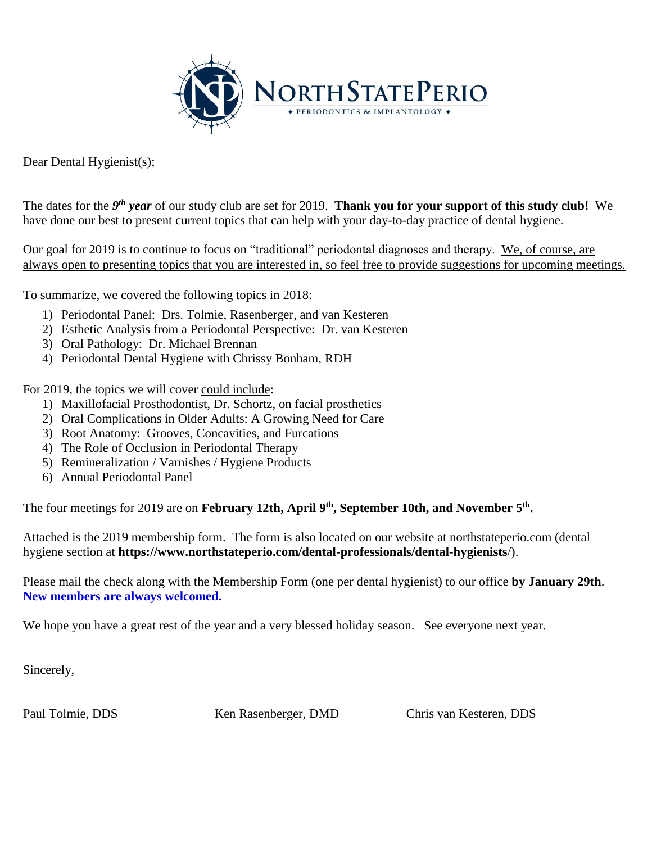

Dear Dental Hygienist(s);

The dates for the *9<sup>th</sup> year* of our study club are set for 2019. **Thank you for your support of this study club!** We have done our best to present current topics that can help with your day-to-day practice of dental hygiene.

Our goal for 2019 is to continue to focus on "traditional" periodontal diagnoses and therapy. We, of course, are always open to presenting topics that you are interested in, so feel free to provide suggestions for upcoming meetings.

To summarize, we covered the following topics in 2018:

- 1) Periodontal Panel: Drs. Tolmie, Rasenberger, and van Kesteren
- 2) Esthetic Analysis from a Periodontal Perspective: Dr. van Kesteren
- 3) Oral Pathology: Dr. Michael Brennan
- 4) Periodontal Dental Hygiene with Chrissy Bonham, RDH

For 2019, the topics we will cover could include:

- 1) Maxillofacial Prosthodontist, Dr. Schortz, on facial prosthetics
- 2) [Oral Complications in Older Adults: A Growing Need for Care](http://perio.msgfocus.com/c/1cH5oWQM9B9b2bnJytvGQBLsP)
- 3) Root Anatomy: Grooves, Concavities, and Furcations
- 4) The Role of Occlusion in Periodontal Therapy
- 5) Remineralization / Varnishes / Hygiene Products
- 6) Annual Periodontal Panel

The four meetings for 2019 are on **February 12th**, April 9<sup>th</sup>, September 10th, and November 5<sup>th</sup>.

Attached is the 2019 membership form. The form is also located on our website at northstateperio.com (dental hygiene section at **https://www.northstateperio.com/dental-professionals/dental-hygienists**/).

Please mail the check along with the Membership Form (one per dental hygienist) to our office **by January 29th**. **New members are always welcomed.**

We hope you have a great rest of the year and a very blessed holiday season. See everyone next year.

Sincerely,

Paul Tolmie, DDS Ken Rasenberger, DMD Chris van Kesteren, DDS